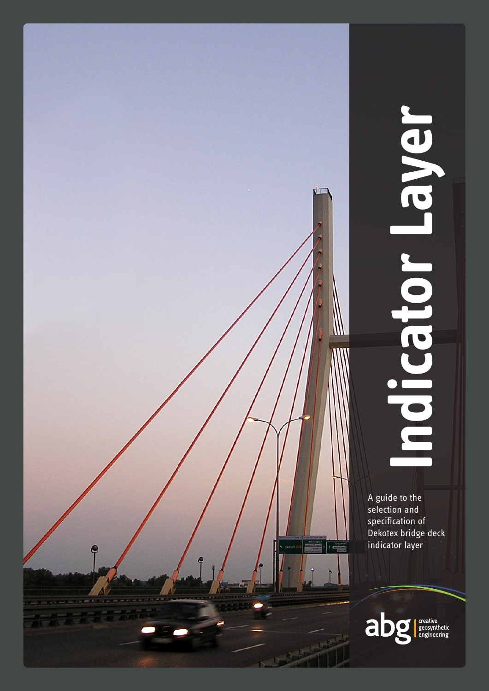

## **Indicator Layer** dicator layer

A guide to the selection and specification of Dekotex bridge deck indicator layer

creative<br>geosynthetic<br>engineering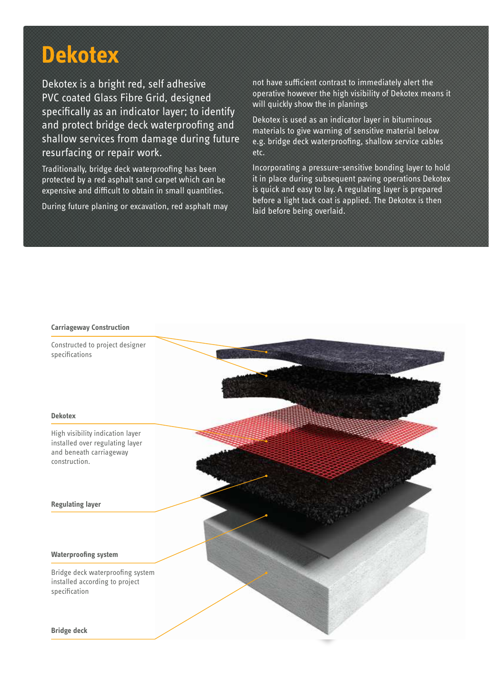## **Dekotex**

Dekotex is a bright red, self adhesive PVC coated Glass Fibre Grid, designed specifically as an indicator layer; to identify and protect bridge deck waterproofing and shallow services from damage during future resurfacing or repair work.

Traditionally, bridge deck waterproofing has been protected by a red asphalt sand carpet which can be expensive and difficult to obtain in small quantities.

During future planing or excavation, red asphalt may

not have sufficient contrast to immediately alert the operative however the high visibility of Dekotex means it will quickly show the in planings

Dekotex is used as an indicator layer in bituminous materials to give warning of sensitive material below e.g. bridge deck waterproofing, shallow service cables etc.

Incorporating a pressure-sensitive bonding layer to hold it in place during subsequent paving operations Dekotex is quick and easy to lay. A regulating layer is prepared before a light tack coat is applied. The Dekotex is then laid before being overlaid.

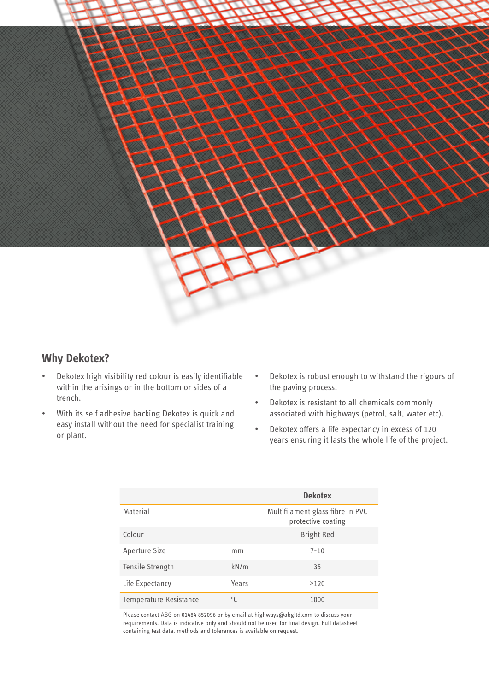

## **Why Dekotex?**

- Dekotex high visibility red colour is easily identifiable within the arisings or in the bottom or sides of a trench.
- With its self adhesive backing Dekotex is quick and easy install without the need for specialist training or plant.
- Dekotex is robust enough to withstand the rigours of the paving process.
- Dekotex is resistant to all chemicals commonly associated with highways (petrol, salt, water etc).
- Dekotex offers a life expectancy in excess of 120 years ensuring it lasts the whole life of the project.

|                        |         | <b>Dekotex</b>                                         |
|------------------------|---------|--------------------------------------------------------|
| Material               |         | Multifilament glass fibre in PVC<br>protective coating |
| Colour                 |         | <b>Bright Red</b>                                      |
| Aperture Size          | mm      | $7 - 10$                                               |
| Tensile Strength       | kN/m    | 35                                                     |
| Life Expectancy        | Years   | >120                                                   |
| Temperature Resistance | $\circ$ | 1000                                                   |

Please contact ABG on 01484 852096 or by email at highways@abgltd.com to discuss your requirements. Data is indicative only and should not be used for final design. Full datasheet containing test data, methods and tolerances is available on request.